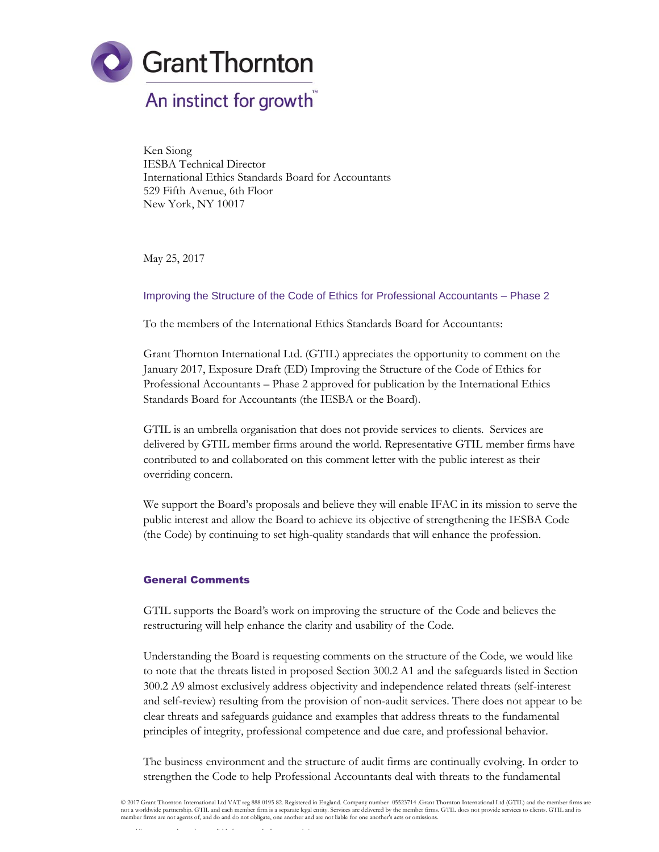

Ken Siong IESBA Technical Director International Ethics Standards Board for Accountants 529 Fifth Avenue, 6th Floor New York, NY 10017

May 25, 2017

## Improving the Structure of the Code of Ethics for Professional Accountants – Phase 2

To the members of the International Ethics Standards Board for Accountants:

Grant Thornton International Ltd. (GTIL) appreciates the opportunity to comment on the January 2017, Exposure Draft (ED) Improving the Structure of the Code of Ethics for Professional Accountants – Phase 2 approved for publication by the International Ethics Standards Board for Accountants (the IESBA or the Board).

GTIL is an umbrella organisation that does not provide services to clients. Services are delivered by GTIL member firms around the world. Representative GTIL member firms have contributed to and collaborated on this comment letter with the public interest as their overriding concern.

We support the Board's proposals and believe they will enable IFAC in its mission to serve the public interest and allow the Board to achieve its objective of strengthening the IESBA Code (the Code) by continuing to set high-quality standards that will enhance the profession.

#### General Comments

GTIL supports the Board's work on improving the structure of the Code and believes the restructuring will help enhance the clarity and usability of the Code.

Understanding the Board is requesting comments on the structure of the Code, we would like to note that the threats listed in proposed Section 300.2 A1 and the safeguards listed in Section 300.2 A9 almost exclusively address objectivity and independence related threats (self-interest and self-review) resulting from the provision of non-audit services. There does not appear to be clear threats and safeguards guidance and examples that address threats to the fundamental principles of integrity, professional competence and due care, and professional behavior.

The business environment and the structure of audit firms are continually evolving. In order to strengthen the Code to help Professional Accountants deal with threats to the fundamental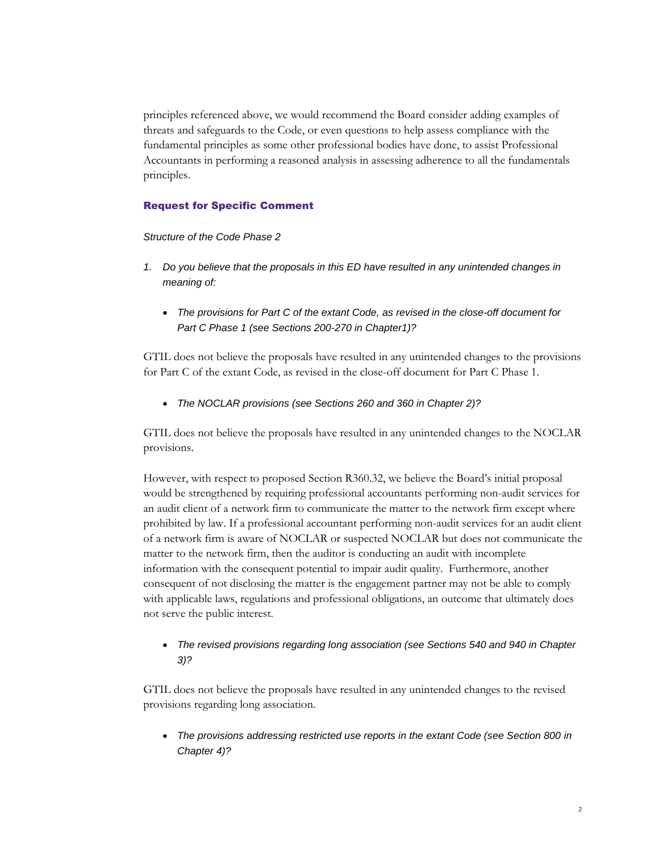principles referenced above, we would recommend the Board consider adding examples of threats and safeguards to the Code, or even questions to help assess compliance with the fundamental principles as some other professional bodies have done, to assist Professional Accountants in performing a reasoned analysis in assessing adherence to all the fundamentals principles.

# Request for Specific Comment

*Structure of the Code Phase 2*

- *1. Do you believe that the proposals in this ED have resulted in any unintended changes in meaning of:*
	- *The provisions for Part C of the extant Code, as revised in the close-off document for Part C Phase 1 (see Sections 200-270 in Chapter1)?*

GTIL does not believe the proposals have resulted in any unintended changes to the provisions for Part C of the extant Code, as revised in the close-off document for Part C Phase 1.

*The NOCLAR provisions (see Sections 260 and 360 in Chapter 2)?*

GTIL does not believe the proposals have resulted in any unintended changes to the NOCLAR provisions.

However, with respect to proposed Section R360.32, we believe the Board's initial proposal would be strengthened by requiring professional accountants performing non-audit services for an audit client of a network firm to communicate the matter to the network firm except where prohibited by law. If a professional accountant performing non-audit services for an audit client of a network firm is aware of NOCLAR or suspected NOCLAR but does not communicate the matter to the network firm, then the auditor is conducting an audit with incomplete information with the consequent potential to impair audit quality. Furthermore, another consequent of not disclosing the matter is the engagement partner may not be able to comply with applicable laws, regulations and professional obligations, an outcome that ultimately does not serve the public interest.

# *The revised provisions regarding long association (see Sections 540 and 940 in Chapter 3)?*

GTIL does not believe the proposals have resulted in any unintended changes to the revised provisions regarding long association.

 *The provisions addressing restricted use reports in the extant Code (see Section 800 in Chapter 4)?*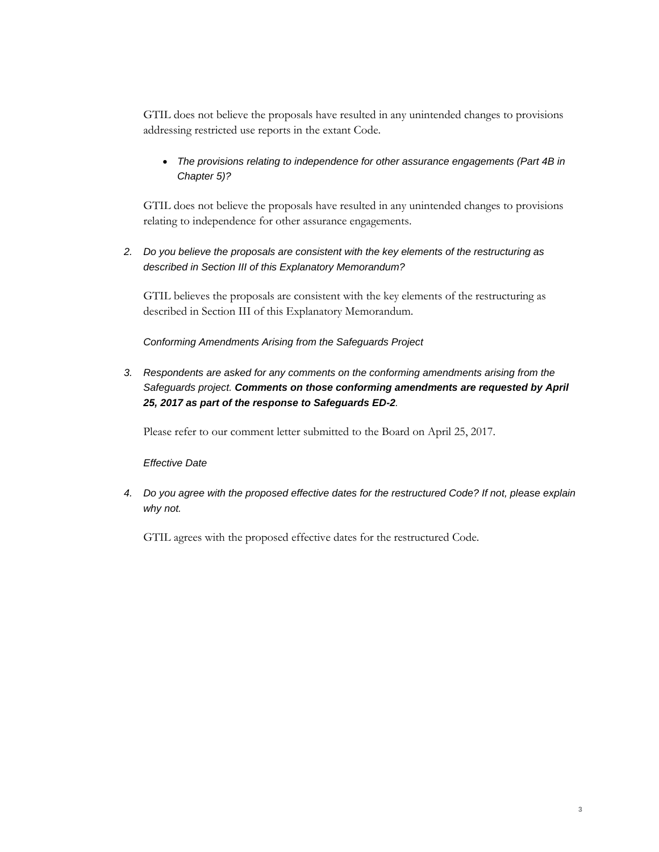GTIL does not believe the proposals have resulted in any unintended changes to provisions addressing restricted use reports in the extant Code.

 *The provisions relating to independence for other assurance engagements (Part 4B in Chapter 5)?*

GTIL does not believe the proposals have resulted in any unintended changes to provisions relating to independence for other assurance engagements.

*2. Do you believe the proposals are consistent with the key elements of the restructuring as described in Section III of this Explanatory Memorandum?*

GTIL believes the proposals are consistent with the key elements of the restructuring as described in Section III of this Explanatory Memorandum.

*Conforming Amendments Arising from the Safeguards Project*

*3. Respondents are asked for any comments on the conforming amendments arising from the Safeguards project. Comments on those conforming amendments are requested by April 25, 2017 as part of the response to Safeguards ED-2.*

Please refer to our comment letter submitted to the Board on April 25, 2017.

## *Effective Date*

*4. Do you agree with the proposed effective dates for the restructured Code? If not, please explain why not.*

GTIL agrees with the proposed effective dates for the restructured Code.